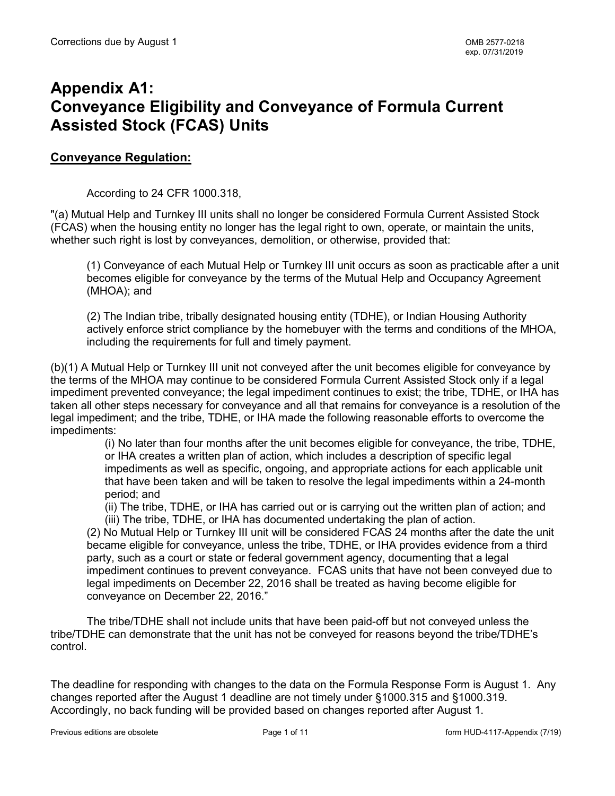## **Appendix A1: Conveyance Eligibility and Conveyance of Formula Current Assisted Stock (FCAS) Units**

#### **Conveyance Regulation:**

According to 24 CFR 1000.318,

"(a) Mutual Help and Turnkey III units shall no longer be considered Formula Current Assisted Stock (FCAS) when the housing entity no longer has the legal right to own, operate, or maintain the units, whether such right is lost by conveyances, demolition, or otherwise, provided that:

(1) Conveyance of each Mutual Help or Turnkey III unit occurs as soon as practicable after a unit becomes eligible for conveyance by the terms of the Mutual Help and Occupancy Agreement (MHOA); and

(2) The Indian tribe, tribally designated housing entity (TDHE), or Indian Housing Authority actively enforce strict compliance by the homebuyer with the terms and conditions of the MHOA, including the requirements for full and timely payment.

(b)(1) A Mutual Help or Turnkey III unit not conveyed after the unit becomes eligible for conveyance by the terms of the MHOA may continue to be considered Formula Current Assisted Stock only if a legal impediment prevented conveyance; the legal impediment continues to exist; the tribe, TDHE, or IHA has taken all other steps necessary for conveyance and all that remains for conveyance is a resolution of the legal impediment; and the tribe, TDHE, or IHA made the following reasonable efforts to overcome the impediments:

> (i) No later than four months after the unit becomes eligible for conveyance, the tribe, TDHE, or IHA creates a written plan of action, which includes a description of specific legal impediments as well as specific, ongoing, and appropriate actions for each applicable unit that have been taken and will be taken to resolve the legal impediments within a 24-month period; and

(ii) The tribe, TDHE, or IHA has carried out or is carrying out the written plan of action; and (iii) The tribe, TDHE, or IHA has documented undertaking the plan of action.

(2) No Mutual Help or Turnkey III unit will be considered FCAS 24 months after the date the unit became eligible for conveyance, unless the tribe, TDHE, or IHA provides evidence from a third party, such as a court or state or federal government agency, documenting that a legal impediment continues to prevent conveyance. FCAS units that have not been conveyed due to legal impediments on December 22, 2016 shall be treated as having become eligible for conveyance on December 22, 2016."

The tribe/TDHE shall not include units that have been paid-off but not conveyed unless the tribe/TDHE can demonstrate that the unit has not be conveyed for reasons beyond the tribe/TDHE's control.

The deadline for responding with changes to the data on the Formula Response Form is August 1. Any changes reported after the August 1 deadline are not timely under §1000.315 and §1000.319. Accordingly, no back funding will be provided based on changes reported after August 1.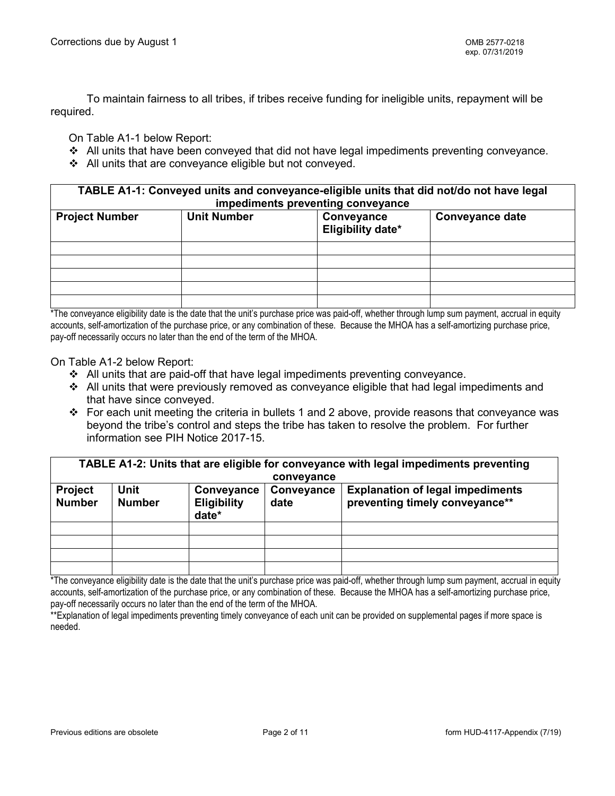To maintain fairness to all tribes, if tribes receive funding for ineligible units, repayment will be required.

On Table A1-1 below Report:

- All units that have been conveyed that did not have legal impediments preventing conveyance.
- $\div$  All units that are conveyance eligible but not conveyed.

**TABLE A1-1: Conveyed units and conveyance-eligible units that did not/do not have legal impediments preventing conveyance**

| <b>Impounded proventing conveyance</b> |                    |                                 |                        |  |  |
|----------------------------------------|--------------------|---------------------------------|------------------------|--|--|
| <b>Project Number</b>                  | <b>Unit Number</b> | Conveyance<br>Eligibility date* | <b>Conveyance date</b> |  |  |
|                                        |                    |                                 |                        |  |  |
|                                        |                    |                                 |                        |  |  |
|                                        |                    |                                 |                        |  |  |
|                                        |                    |                                 |                        |  |  |
|                                        |                    |                                 |                        |  |  |

\*The conveyance eligibility date is the date that the unit's purchase price was paid-off, whether through lump sum payment, accrual in equity accounts, self-amortization of the purchase price, or any combination of these. Because the MHOA has a self-amortizing purchase price, pay-off necessarily occurs no later than the end of the term of the MHOA.

On Table A1-2 below Report:

- $\div$  All units that are paid-off that have legal impediments preventing conveyance.
- $\div$  All units that were previously removed as conveyance eligible that had legal impediments and that have since conveyed.
- \* For each unit meeting the criteria in bullets 1 and 2 above, provide reasons that conveyance was beyond the tribe's control and steps the tribe has taken to resolve the problem. For further information see PIH Notice 2017-15.

|                                 | TABLE A1-2: Units that are eligible for conveyance with legal impediments preventing |                                           |                    |                                                                           |  |  |  |
|---------------------------------|--------------------------------------------------------------------------------------|-------------------------------------------|--------------------|---------------------------------------------------------------------------|--|--|--|
|                                 |                                                                                      |                                           | conveyance         |                                                                           |  |  |  |
| <b>Project</b><br><b>Number</b> | <b>Unit</b><br><b>Number</b>                                                         | Conveyance<br><b>Eligibility</b><br>date* | Conveyance<br>date | <b>Explanation of legal impediments</b><br>preventing timely conveyance** |  |  |  |
|                                 |                                                                                      |                                           |                    |                                                                           |  |  |  |
|                                 |                                                                                      |                                           |                    |                                                                           |  |  |  |
|                                 |                                                                                      |                                           |                    |                                                                           |  |  |  |
|                                 |                                                                                      |                                           |                    |                                                                           |  |  |  |

\*The conveyance eligibility date is the date that the unit's purchase price was paid-off, whether through lump sum payment, accrual in equity accounts, self-amortization of the purchase price, or any combination of these. Because the MHOA has a self-amortizing purchase price, pay-off necessarily occurs no later than the end of the term of the MHOA.

\*\*Explanation of legal impediments preventing timely conveyance of each unit can be provided on supplemental pages if more space is needed.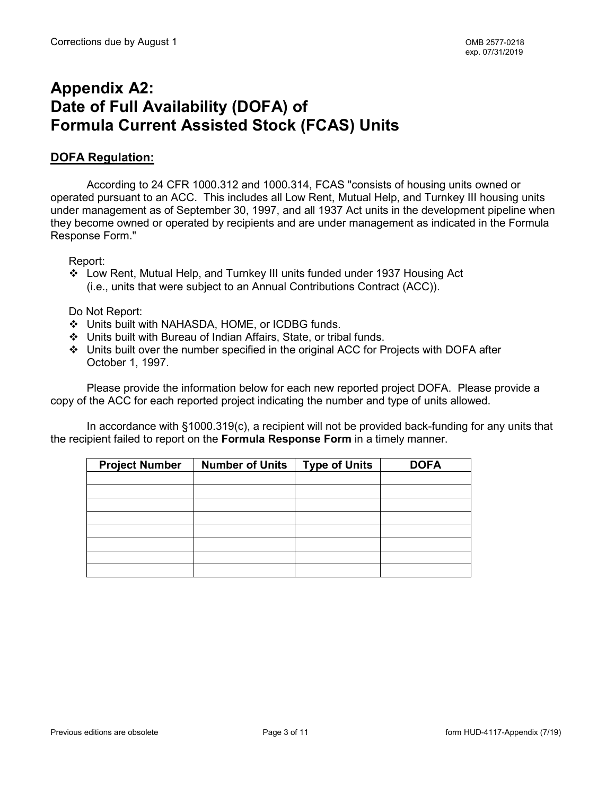## **Appendix A2: Date of Full Availability (DOFA) of Formula Current Assisted Stock (FCAS) Units**

### **DOFA Regulation:**

According to 24 CFR 1000.312 and 1000.314, FCAS "consists of housing units owned or operated pursuant to an ACC. This includes all Low Rent, Mutual Help, and Turnkey III housing units under management as of September 30, 1997, and all 1937 Act units in the development pipeline when they become owned or operated by recipients and are under management as indicated in the Formula Response Form."

Report:

 Low Rent, Mutual Help, and Turnkey III units funded under 1937 Housing Act (i.e., units that were subject to an Annual Contributions Contract (ACC)).

Do Not Report:

- Units built with NAHASDA, HOME, or ICDBG funds.
- Units built with Bureau of Indian Affairs, State, or tribal funds.
- Units built over the number specified in the original ACC for Projects with DOFA after October 1, 1997.

Please provide the information below for each new reported project DOFA. Please provide a copy of the ACC for each reported project indicating the number and type of units allowed.

In accordance with §1000.319(c), a recipient will not be provided back-funding for any units that the recipient failed to report on the **Formula Response Form** in a timely manner.

| <b>Project Number</b> | <b>Number of Units</b> | <b>Type of Units</b> | <b>DOFA</b> |
|-----------------------|------------------------|----------------------|-------------|
|                       |                        |                      |             |
|                       |                        |                      |             |
|                       |                        |                      |             |
|                       |                        |                      |             |
|                       |                        |                      |             |
|                       |                        |                      |             |
|                       |                        |                      |             |
|                       |                        |                      |             |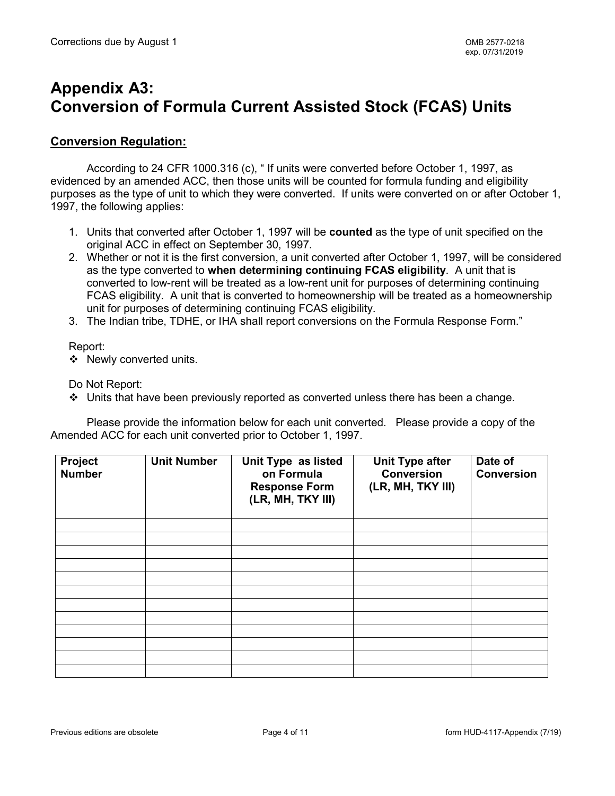# **Appendix A3: Conversion of Formula Current Assisted Stock (FCAS) Units**

### **Conversion Regulation:**

According to 24 CFR 1000.316 (c), " If units were converted before October 1, 1997, as evidenced by an amended ACC, then those units will be counted for formula funding and eligibility purposes as the type of unit to which they were converted. If units were converted on or after October 1, 1997, the following applies:

- 1. Units that converted after October 1, 1997 will be **counted** as the type of unit specified on the original ACC in effect on September 30, 1997.
- 2. Whether or not it is the first conversion, a unit converted after October 1, 1997, will be considered as the type converted to **when determining continuing FCAS eligibility**. A unit that is converted to low-rent will be treated as a low-rent unit for purposes of determining continuing FCAS eligibility. A unit that is converted to homeownership will be treated as a homeownership unit for purposes of determining continuing FCAS eligibility.
- 3. The Indian tribe, TDHE, or IHA shall report conversions on the Formula Response Form."

#### Report:

❖ Newly converted units.

Do Not Report:

Units that have been previously reported as converted unless there has been a change.

Please provide the information below for each unit converted. Please provide a copy of the Amended ACC for each unit converted prior to October 1, 1997.

| Project<br><b>Number</b> | <b>Unit Number</b> | Unit Type as listed<br>on Formula<br><b>Response Form</b><br>(LR, MH, TKY III) | <b>Unit Type after</b><br><b>Conversion</b><br>(LR, MH, TKY III) | Date of<br><b>Conversion</b> |
|--------------------------|--------------------|--------------------------------------------------------------------------------|------------------------------------------------------------------|------------------------------|
|                          |                    |                                                                                |                                                                  |                              |
|                          |                    |                                                                                |                                                                  |                              |
|                          |                    |                                                                                |                                                                  |                              |
|                          |                    |                                                                                |                                                                  |                              |
|                          |                    |                                                                                |                                                                  |                              |
|                          |                    |                                                                                |                                                                  |                              |
|                          |                    |                                                                                |                                                                  |                              |
|                          |                    |                                                                                |                                                                  |                              |
|                          |                    |                                                                                |                                                                  |                              |
|                          |                    |                                                                                |                                                                  |                              |
|                          |                    |                                                                                |                                                                  |                              |
|                          |                    |                                                                                |                                                                  |                              |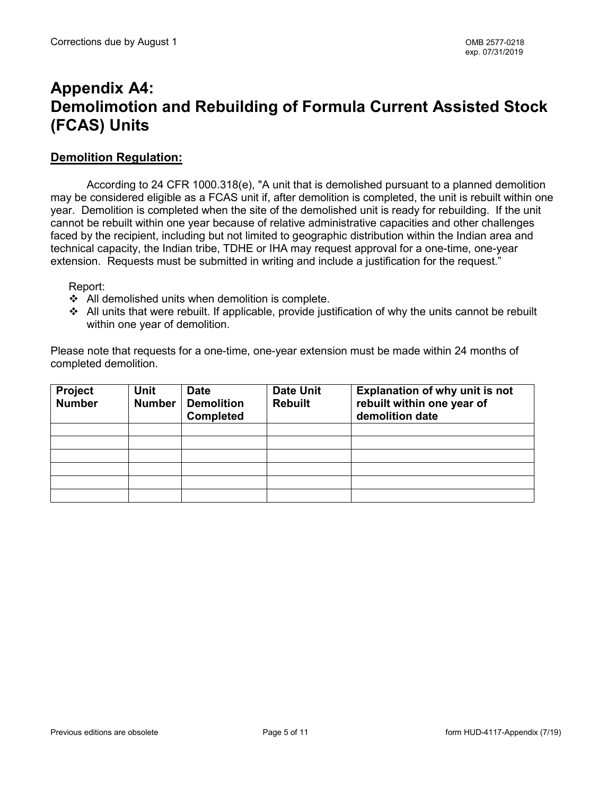## **Appendix A4: Demolimotion and Rebuilding of Formula Current Assisted Stock (FCAS) Units**

#### **Demolition Regulation:**

According to 24 CFR 1000.318(e), "A unit that is demolished pursuant to a planned demolition may be considered eligible as a FCAS unit if, after demolition is completed, the unit is rebuilt within one year. Demolition is completed when the site of the demolished unit is ready for rebuilding. If the unit cannot be rebuilt within one year because of relative administrative capacities and other challenges faced by the recipient, including but not limited to geographic distribution within the Indian area and technical capacity, the Indian tribe, TDHE or IHA may request approval for a one-time, one-year extension. Requests must be submitted in writing and include a justification for the request."

#### Report:

- $\triangleleft$  All demolished units when demolition is complete.
- $\div$  All units that were rebuilt. If applicable, provide justification of why the units cannot be rebuilt within one year of demolition.

Please note that requests for a one-time, one-year extension must be made within 24 months of completed demolition.

| Project<br><b>Number</b> | <b>Unit</b><br><b>Number</b> | <b>Date</b><br><b>Demolition</b><br><b>Completed</b> | <b>Date Unit</b><br><b>Rebuilt</b> | <b>Explanation of why unit is not</b><br>rebuilt within one year of<br>demolition date |
|--------------------------|------------------------------|------------------------------------------------------|------------------------------------|----------------------------------------------------------------------------------------|
|                          |                              |                                                      |                                    |                                                                                        |
|                          |                              |                                                      |                                    |                                                                                        |
|                          |                              |                                                      |                                    |                                                                                        |
|                          |                              |                                                      |                                    |                                                                                        |
|                          |                              |                                                      |                                    |                                                                                        |
|                          |                              |                                                      |                                    |                                                                                        |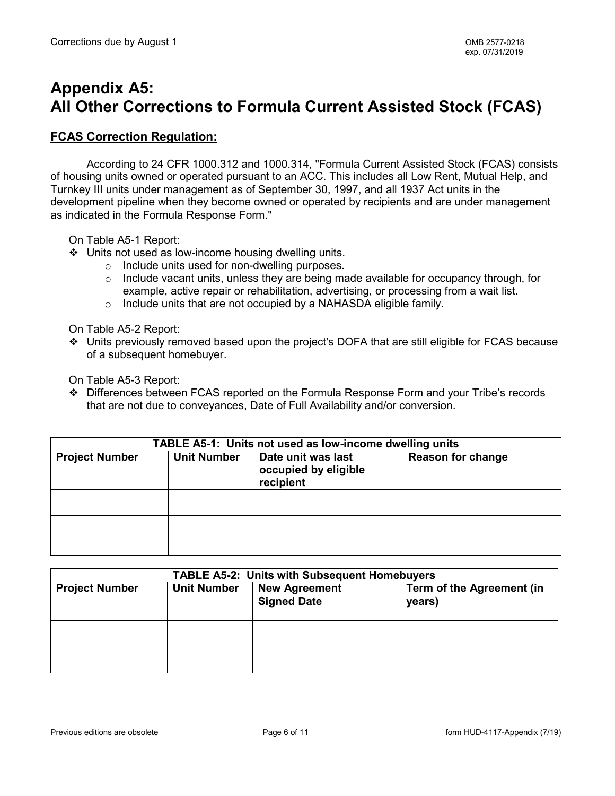# **Appendix A5: All Other Corrections to Formula Current Assisted Stock (FCAS)**

#### **FCAS Correction Regulation:**

According to 24 CFR 1000.312 and 1000.314, "Formula Current Assisted Stock (FCAS) consists of housing units owned or operated pursuant to an ACC. This includes all Low Rent, Mutual Help, and Turnkey III units under management as of September 30, 1997, and all 1937 Act units in the development pipeline when they become owned or operated by recipients and are under management as indicated in the Formula Response Form."

On Table A5-1 Report:

- Units not used as low-income housing dwelling units.
	- o Include units used for non-dwelling purposes.
	- $\circ$  Include vacant units, unless they are being made available for occupancy through, for example, active repair or rehabilitation, advertising, or processing from a wait list.
	- o Include units that are not occupied by a NAHASDA eligible family.

On Table A5-2 Report:

 Units previously removed based upon the project's DOFA that are still eligible for FCAS because of a subsequent homebuyer.

On Table A5-3 Report:

 Differences between FCAS reported on the Formula Response Form and your Tribe's records that are not due to conveyances, Date of Full Availability and/or conversion.

| TABLE A5-1: Units not used as low-income dwelling units |                    |                                                         |                          |  |  |
|---------------------------------------------------------|--------------------|---------------------------------------------------------|--------------------------|--|--|
| <b>Project Number</b>                                   | <b>Unit Number</b> | Date unit was last<br>occupied by eligible<br>recipient | <b>Reason for change</b> |  |  |
|                                                         |                    |                                                         |                          |  |  |
|                                                         |                    |                                                         |                          |  |  |
|                                                         |                    |                                                         |                          |  |  |
|                                                         |                    |                                                         |                          |  |  |
|                                                         |                    |                                                         |                          |  |  |

| <b>TABLE A5-2: Units with Subsequent Homebuyers</b> |                    |                                            |                                     |  |  |
|-----------------------------------------------------|--------------------|--------------------------------------------|-------------------------------------|--|--|
| <b>Project Number</b>                               | <b>Unit Number</b> | <b>New Agreement</b><br><b>Signed Date</b> | Term of the Agreement (in<br>years) |  |  |
|                                                     |                    |                                            |                                     |  |  |
|                                                     |                    |                                            |                                     |  |  |
|                                                     |                    |                                            |                                     |  |  |
|                                                     |                    |                                            |                                     |  |  |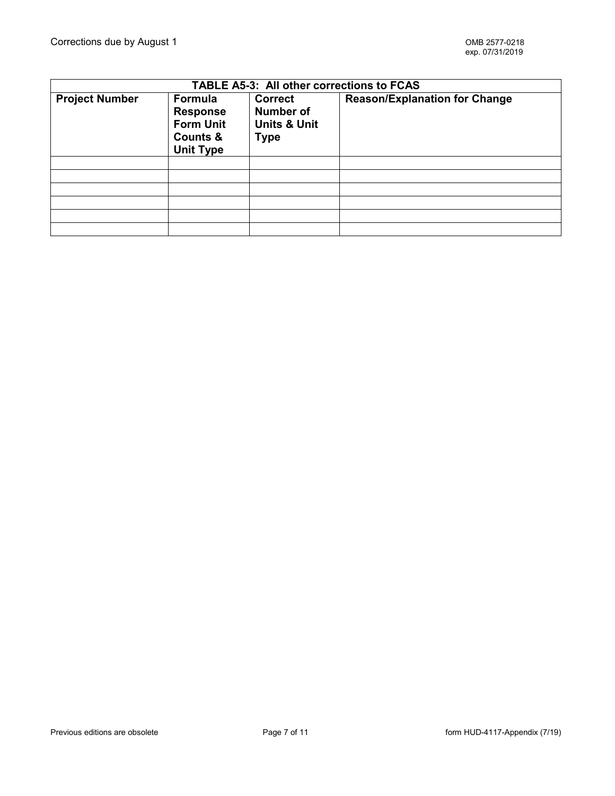| TABLE A5-3: All other corrections to FCAS |                                                                                           |                                                                              |                                      |  |  |  |
|-------------------------------------------|-------------------------------------------------------------------------------------------|------------------------------------------------------------------------------|--------------------------------------|--|--|--|
| <b>Project Number</b>                     | Formula<br><b>Response</b><br><b>Form Unit</b><br><b>Counts &amp;</b><br><b>Unit Type</b> | <b>Correct</b><br><b>Number of</b><br><b>Units &amp; Unit</b><br><b>Type</b> | <b>Reason/Explanation for Change</b> |  |  |  |
|                                           |                                                                                           |                                                                              |                                      |  |  |  |
|                                           |                                                                                           |                                                                              |                                      |  |  |  |
|                                           |                                                                                           |                                                                              |                                      |  |  |  |
|                                           |                                                                                           |                                                                              |                                      |  |  |  |
|                                           |                                                                                           |                                                                              |                                      |  |  |  |
|                                           |                                                                                           |                                                                              |                                      |  |  |  |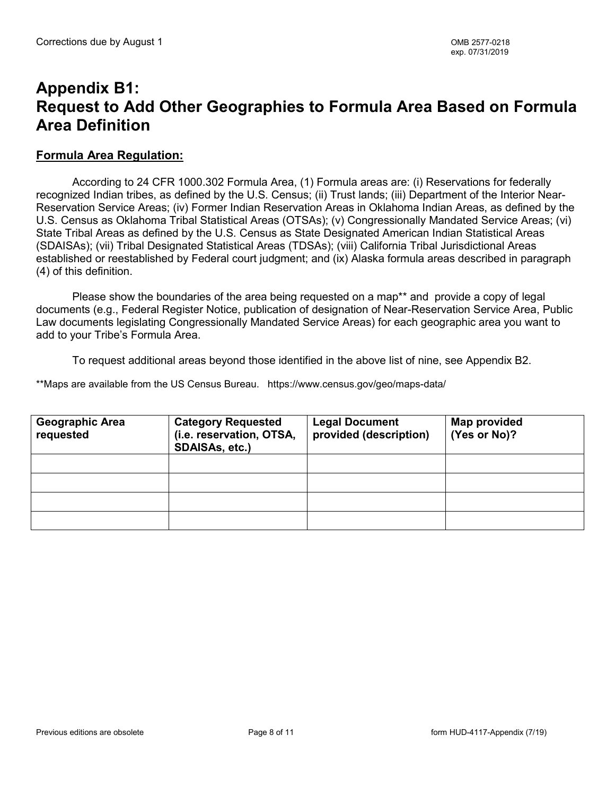### **Appendix B1: Request to Add Other Geographies to Formula Area Based on Formula Area Definition**

#### **Formula Area Regulation:**

According to 24 CFR 1000.302 Formula Area, (1) Formula areas are: (i) Reservations for federally recognized Indian tribes, as defined by the U.S. Census; (ii) Trust lands; (iii) Department of the Interior Near-Reservation Service Areas; (iv) Former Indian Reservation Areas in Oklahoma Indian Areas, as defined by the U.S. Census as Oklahoma Tribal Statistical Areas (OTSAs); (v) Congressionally Mandated Service Areas; (vi) State Tribal Areas as defined by the U.S. Census as State Designated American Indian Statistical Areas (SDAISAs); (vii) Tribal Designated Statistical Areas (TDSAs); (viii) California Tribal Jurisdictional Areas established or reestablished by Federal court judgment; and (ix) Alaska formula areas described in paragraph (4) of this definition.

Please show the boundaries of the area being requested on a map\*\* and provide a copy of legal documents (e.g., Federal Register Notice, publication of designation of Near-Reservation Service Area, Public Law documents legislating Congressionally Mandated Service Areas) for each geographic area you want to add to your Tribe's Formula Area.

To request additional areas beyond those identified in the above list of nine, see Appendix B2.

\*\*Maps are available from the US Census Bureau. https://www.census.gov/geo/maps-data/

| <b>Geographic Area</b><br>requested | <b>Category Requested</b><br>(i.e. reservation, OTSA,<br>SDAISAs, etc.) | <b>Legal Document</b><br>provided (description) | Map provided<br>(Yes or No)? |
|-------------------------------------|-------------------------------------------------------------------------|-------------------------------------------------|------------------------------|
|                                     |                                                                         |                                                 |                              |
|                                     |                                                                         |                                                 |                              |
|                                     |                                                                         |                                                 |                              |
|                                     |                                                                         |                                                 |                              |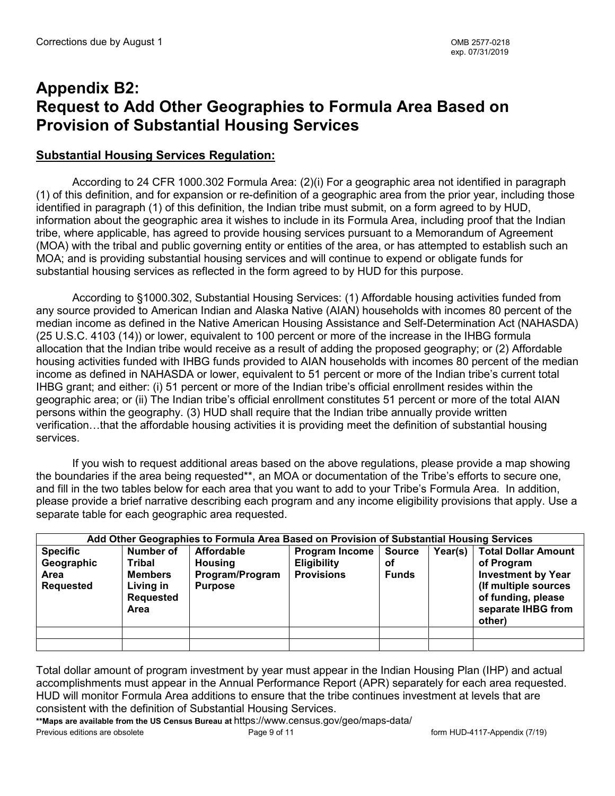## **Appendix B2: Request to Add Other Geographies to Formula Area Based on Provision of Substantial Housing Services**

### **Substantial Housing Services Regulation:**

According to 24 CFR 1000.302 Formula Area: (2)(i) For a geographic area not identified in paragraph (1) of this definition, and for expansion or re-definition of a geographic area from the prior year, including those identified in paragraph (1) of this definition, the Indian tribe must submit, on a form agreed to by HUD, information about the geographic area it wishes to include in its Formula Area, including proof that the Indian tribe, where applicable, has agreed to provide housing services pursuant to a Memorandum of Agreement (MOA) with the tribal and public governing entity or entities of the area, or has attempted to establish such an MOA; and is providing substantial housing services and will continue to expend or obligate funds for substantial housing services as reflected in the form agreed to by HUD for this purpose.

According to §1000.302, Substantial Housing Services: (1) Affordable housing activities funded from any source provided to American Indian and Alaska Native (AIAN) households with incomes 80 percent of the median income as defined in the Native American Housing Assistance and Self-Determination Act (NAHASDA) (25 U.S.C. 4103 (14)) or lower, equivalent to 100 percent or more of the increase in the IHBG formula allocation that the Indian tribe would receive as a result of adding the proposed geography; or (2) Affordable housing activities funded with IHBG funds provided to AIAN households with incomes 80 percent of the median income as defined in NAHASDA or lower, equivalent to 51 percent or more of the Indian tribe's current total IHBG grant; and either: (i) 51 percent or more of the Indian tribe's official enrollment resides within the geographic area; or (ii) The Indian tribe's official enrollment constitutes 51 percent or more of the total AIAN persons within the geography. (3) HUD shall require that the Indian tribe annually provide written verification…that the affordable housing activities it is providing meet the definition of substantial housing services.

If you wish to request additional areas based on the above regulations, please provide a map showing the boundaries if the area being requested\*\*, an MOA or documentation of the Tribe's efforts to secure one, and fill in the two tables below for each area that you want to add to your Tribe's Formula Area. In addition, please provide a brief narrative describing each program and any income eligibility provisions that apply. Use a separate table for each geographic area requested.

|                                                                  | Add Other Geographies to Formula Area Based on Provision of Substantial Housing Services |                                                                          |                                                                  |                                     |         |                                                                                                                                                     |  |
|------------------------------------------------------------------|------------------------------------------------------------------------------------------|--------------------------------------------------------------------------|------------------------------------------------------------------|-------------------------------------|---------|-----------------------------------------------------------------------------------------------------------------------------------------------------|--|
| <b>Specific</b><br>Geographic<br><b>Area</b><br><b>Requested</b> | Number of<br>Tribal<br><b>Members</b><br>Living in<br><b>Requested</b><br>Area           | <b>Affordable</b><br><b>Housing</b><br>Program/Program<br><b>Purpose</b> | <b>Program Income</b><br><b>Eligibility</b><br><b>Provisions</b> | <b>Source</b><br>οf<br><b>Funds</b> | Year(s) | <b>Total Dollar Amount</b><br>of Program<br><b>Investment by Year</b><br>(If multiple sources<br>of funding, please<br>separate IHBG from<br>other) |  |
|                                                                  |                                                                                          |                                                                          |                                                                  |                                     |         |                                                                                                                                                     |  |
|                                                                  |                                                                                          |                                                                          |                                                                  |                                     |         |                                                                                                                                                     |  |

Total dollar amount of program investment by year must appear in the Indian Housing Plan (IHP) and actual accomplishments must appear in the Annual Performance Report (APR) separately for each area requested. HUD will monitor Formula Area additions to ensure that the tribe continues investment at levels that are consistent with the definition of Substantial Housing Services.

Previous editions are obsolete **Page 9 of 11 Page 9 of 11 Form HUD-4117-Appendix (7/19) \*\*Maps are available from the US Census Bureau at** https://www.census.gov/geo/maps-data/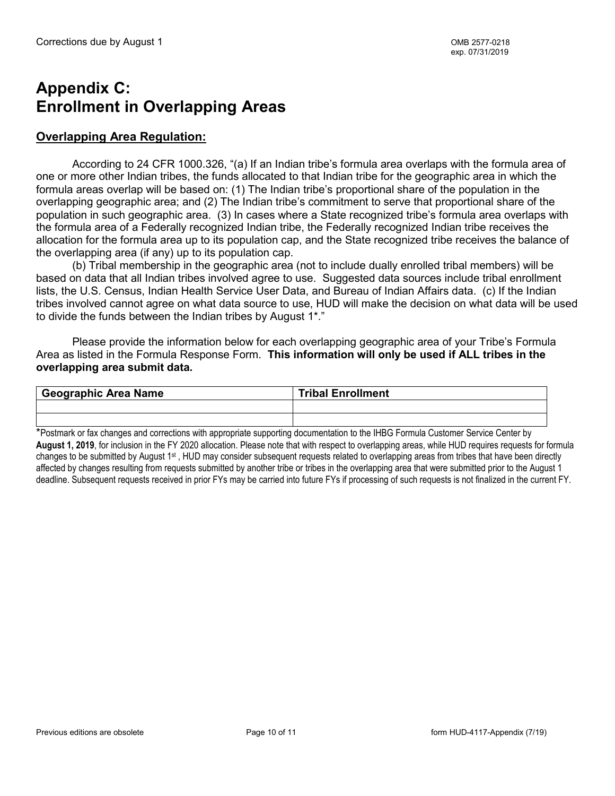# **Appendix C: Enrollment in Overlapping Areas**

### **Overlapping Area Regulation:**

According to 24 CFR 1000.326, "(a) If an Indian tribe's formula area overlaps with the formula area of one or more other Indian tribes, the funds allocated to that Indian tribe for the geographic area in which the formula areas overlap will be based on: (1) The Indian tribe's proportional share of the population in the overlapping geographic area; and (2) The Indian tribe's commitment to serve that proportional share of the population in such geographic area. (3) In cases where a State recognized tribe's formula area overlaps with the formula area of a Federally recognized Indian tribe, the Federally recognized Indian tribe receives the allocation for the formula area up to its population cap, and the State recognized tribe receives the balance of the overlapping area (if any) up to its population cap.

(b) Tribal membership in the geographic area (not to include dually enrolled tribal members) will be based on data that all Indian tribes involved agree to use. Suggested data sources include tribal enrollment lists, the U.S. Census, Indian Health Service User Data, and Bureau of Indian Affairs data. (c) If the Indian tribes involved cannot agree on what data source to use, HUD will make the decision on what data will be used to divide the funds between the Indian tribes by August 1\*."

Please provide the information below for each overlapping geographic area of your Tribe's Formula Area as listed in the Formula Response Form. **This information will only be used if ALL tribes in the overlapping area submit data.**

| <sup>l</sup> Geographic Area Name | <b>Tribal Enrollment</b> |
|-----------------------------------|--------------------------|
|                                   |                          |
|                                   |                          |

\*Postmark or fax changes and corrections with appropriate supporting documentation to the IHBG Formula Customer Service Center by **August 1, 2019**, for inclusion in the FY 2020 allocation. Please note that with respect to overlapping areas, while HUD requires requests for formula changes to be submitted by August 1st , HUD may consider subsequent requests related to overlapping areas from tribes that have been directly affected by changes resulting from requests submitted by another tribe or tribes in the overlapping area that were submitted prior to the August 1 deadline. Subsequent requests received in prior FYs may be carried into future FYs if processing of such requests is not finalized in the current FY.